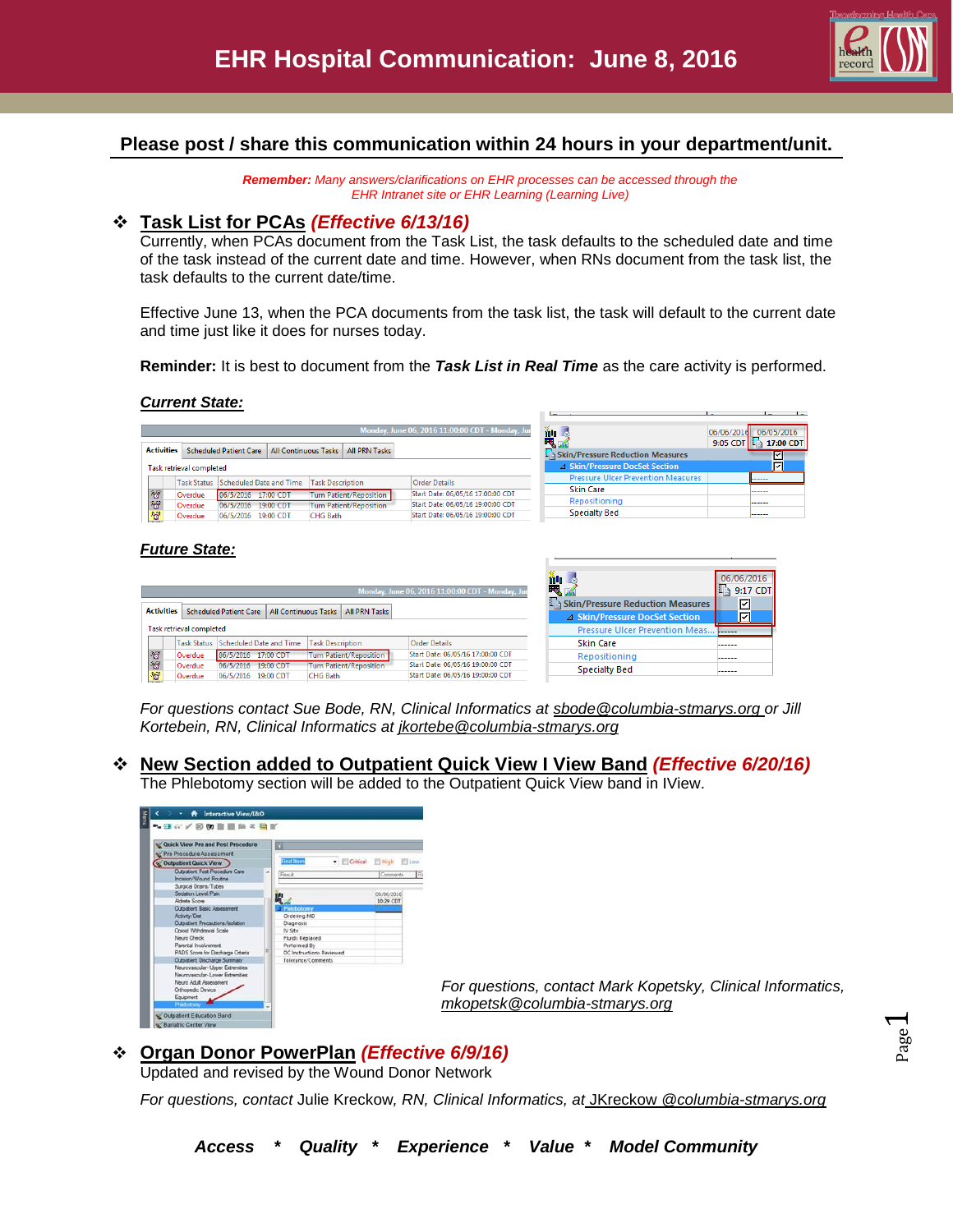

## **Please post / share this communication within 24 hours in your department/unit.**

*Remember: Many answers/clarifications on EHR processes can be accessed through the EHR Intranet site or EHR Learning (Learning Live)*

### **Task List for PCAs** *(Effective 6/13/16)*

*Current State:*

Overdue

06/5/2016 19:00 CDT

**CHG Bath** 

Currently, when PCAs document from the Task List, the task defaults to the scheduled date and time of the task instead of the current date and time. However, when RNs document from the task list, the task defaults to the current date/time.

Effective June 13, when the PCA documents from the task list, the task will default to the current date and time just like it does for nurses today.

**Reminder:** It is best to document from the *Task List in Real Time* as the care activity is performed.

|                             | Van Gin Vlato.           |                                                              |                                                     |                                                  |                                                                         |                                           |
|-----------------------------|--------------------------|--------------------------------------------------------------|-----------------------------------------------------|--------------------------------------------------|-------------------------------------------------------------------------|-------------------------------------------|
|                             |                          |                                                              |                                                     | Monday, June 06, 2016 11:00:00 CDT - Monday, Jur | iù In                                                                   | 06/05/2016<br>06/06/2016                  |
| <b>Activities</b>           |                          | <b>Scheduled Patient Care</b>                                | <b>All PRN Tasks</b><br><b>All Continuous Tasks</b> |                                                  | ₹.<br>Skin/Pressure Reduction Measures                                  | 9:05 CDT $\mathbb{F}_1$<br>17:00 CDT<br>☑ |
|                             | Task retrieval completed |                                                              |                                                     |                                                  | 4 Skin/Pressure DocSet Section                                          | ⊠                                         |
|                             | <b>Task Status</b>       | <b>Scheduled Date and Time</b>                               | <b>Task Description</b>                             | <b>Order Details</b>                             | <b>Pressure Ulcer Prevention Measures</b>                               | -----                                     |
|                             | Overdue                  | 06/5/2016 17:00 CDT                                          | <b>Turn Patient/Reposition</b>                      | Start Date: 06/05/16 17:00:00 CDT                | <b>Skin Care</b>                                                        | ------                                    |
|                             | Overdue                  | 19:00 CDT<br>06/5/2016                                       | <b>Turn Patient/Reposition</b>                      | Start Date: 06/05/16 19:00:00 CDT                | Repositioning                                                           | ------                                    |
| $\sigma$<br>ď               | Overdue                  | 06/5/2016<br>19:00 CDT                                       | <b>CHG Bath</b>                                     | Start Date: 06/05/16 19:00:00 CDT                | <b>Specialty Bed</b>                                                    | ------                                    |
|                             |                          |                                                              |                                                     |                                                  |                                                                         |                                           |
|                             |                          |                                                              |                                                     |                                                  | m в                                                                     | 06/06/2016                                |
|                             |                          |                                                              |                                                     | Monday, June 06, 2016 11:00:00 CDT - Monday, Jun | н.                                                                      | Ià<br>9:17 CDT                            |
|                             |                          | <b>Scheduled Patient Care</b><br><b>All Continuous Tasks</b> | <b>All PRN Tasks</b>                                |                                                  | Skin/Pressure Reduction Measures                                        | 罓                                         |
|                             | Task retrieval completed |                                                              |                                                     |                                                  | <b>4 Skin/Pressure DocSet Section</b><br>Pressure UIcer Prevention Meas | ⊡<br>.                                    |
|                             | <b>Task Status</b>       | <b>Scheduled Date and Time</b>                               | <b>Task Description</b>                             | <b>Order Details</b>                             | <b>Skin Care</b>                                                        |                                           |
| <b>Activities</b><br>ರ<br>ಕ | Overdue                  | 06/5/2016 17:00 CDT                                          | <b>Turn Patient/Reposition</b>                      | Start Date: 06/05/16 17:00:00 CDT                | Repositioning                                                           | ------                                    |

*For questions contact Sue Bode, RN, Clinical Informatics at [sbode@columbia-stmarys.org](mailto:sbode@columbia-stmarys.org) or Jill Kortebein, RN, Clinical Informatics at jkortebe@columbia-stmarys.org*

Start Date: 06/05/16 19:00:00 CDT

**New Section added to Outpatient Quick View I View Band** *(Effective 6/20/16)*

The Phlebotomy section will be added to the Outpatient Quick View band in IView.



*For questions, contact Mark Kopetsky, Clinical Informatics, [mkopetsk@columbia-stmarys.org](mailto:mkopetsk@columbia-stmarys.org)*

**Specialty Bed** 

# **Organ Donor PowerPlan** *(Effective 6/9/16)*

Updated and revised by the Wound Donor Network

*For questions, contact* Julie Kreckow*, RN, Clinical Informatics, at* JKreckow *[@columbia-stmarys.org](mailto:mkopetsk@columbia-stmarys.org)*